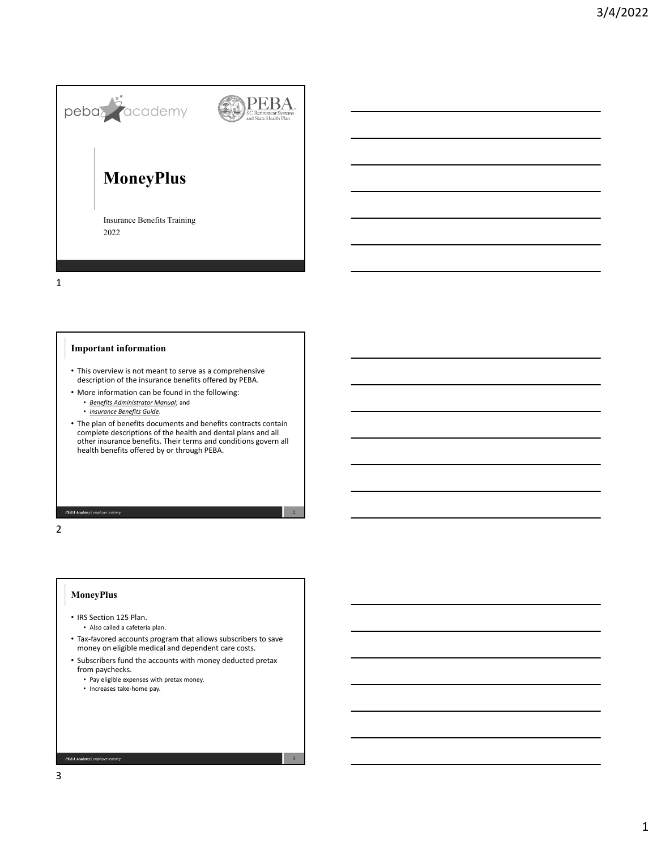

1

## **Important information**

- This overview is not meant to serve as a comprehensive description of the insurance benefits offered by PEBA.
- More information can be found in the following:
	- *Benefits Administrator Manual*; and
	- *Insurance Benefits Guide*.
- The plan of benefits documents and benefits contracts contain complete descriptions of the health and dental plans and all other insurance benefits. Their terms and conditions govern all health benefits offered by or through PEBA.

PEBA Academy | em

2

#### **MoneyPlus**

- IRS Section 125 Plan. • Also called a cafeteria plan.
- Tax‐favored accounts program that allows subscribers to save money on eligible medical and dependent care costs.
- Subscribers fund the accounts with money deducted pretax from paychecks.

3

- Pay eligible expenses with pretax money.
- Increases take‐home pay.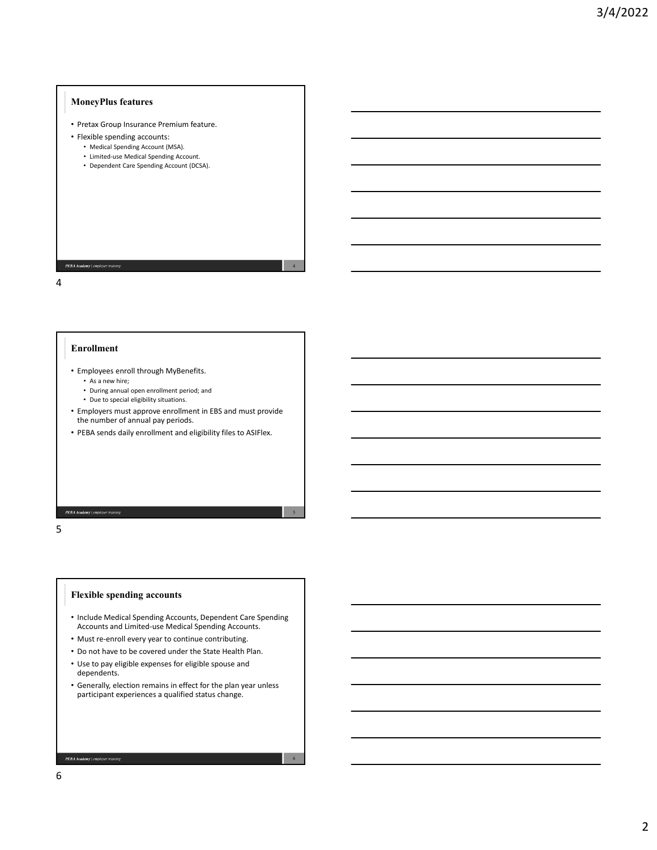## **MoneyPlus features**

- Pretax Group Insurance Premium feature.
- Flexible spending accounts:
	- Medical Spending Account (MSA).
	- Limited‐use Medical Spending Account.
	- Dependent Care Spending Account (DCSA).

PEBA Academy | emplo

4

#### **Enrollment**

- Employees enroll through MyBenefits. • As a new hire;
	- During annual open enrollment period; and
	- Due to special eligibility situations.
- Employers must approve enrollment in EBS and must provide the number of annual pay periods.

4

5

6

• PEBA sends daily enrollment and eligibility files to ASIFlex.

PEBA Academy | emp

5

## **Flexible spending accounts**

- Include Medical Spending Accounts, Dependent Care Spending Accounts and Limited‐use Medical Spending Accounts.
- Must re-enroll every year to continue contributing.
- Do not have to be covered under the State Health Plan.
- Use to pay eligible expenses for eligible spouse and dependents.
- Generally, election remains in effect for the plan year unless participant experiences a qualified status change.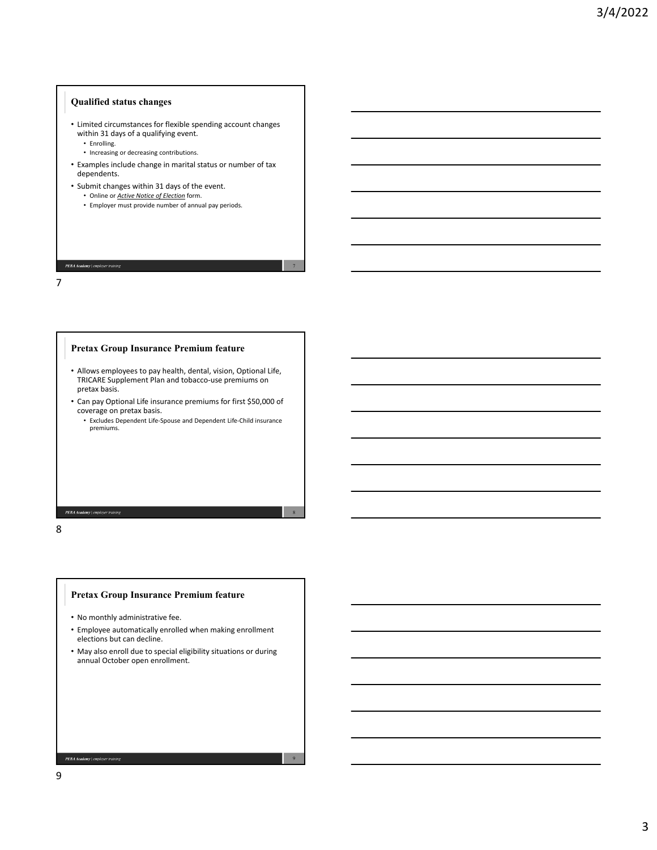### **Qualified status changes**

- Limited circumstances for flexible spending account changes within 31 days of a qualifying event.
	- Enrolling.
	- Increasing or decreasing contributions.
- Examples include change in marital status or number of tax dependents.

7

8

9

- Submit changes within 31 days of the event.
	- Online or *Active Notice of Election* form.
	- Employer must provide number of annual pay periods.

#### PEBA Academy | emplo

7

## **Pretax Group Insurance Premium feature**

- Allows employees to pay health, dental, vision, Optional Life, TRICARE Supplement Plan and tobacco‐use premiums on pretax basis.
- Can pay Optional Life insurance premiums for first \$50,000 of coverage on pretax basis.
	- Excludes Dependent Life‐Spouse and Dependent Life‐Child insurance premiums.

PEBA Acc

8

## **Pretax Group Insurance Premium feature**

- No monthly administrative fee.
- Employee automatically enrolled when making enrollment elections but can decline.
- May also enroll due to special eligibility situations or during annual October open enrollment.

9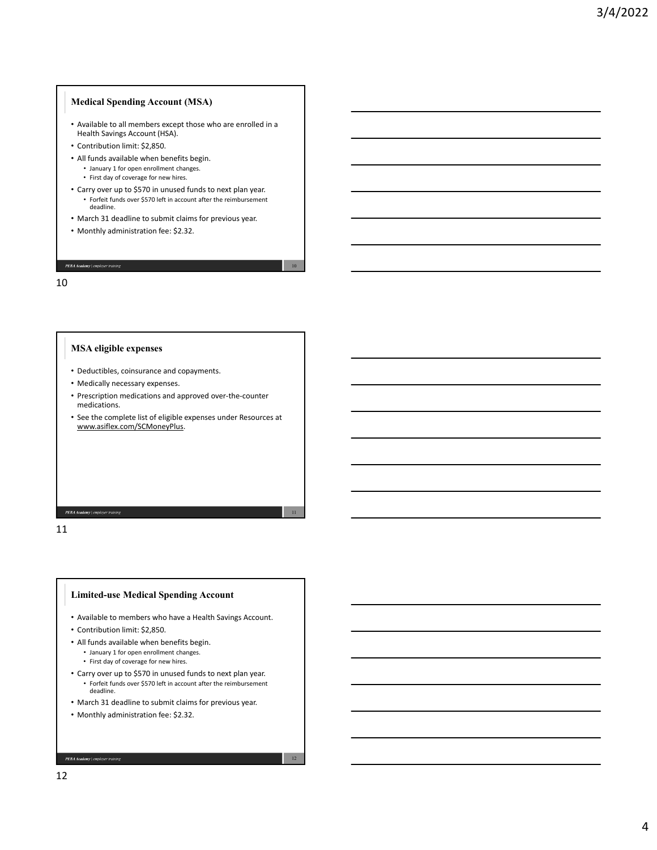## **Medical Spending Account (MSA)**

- Available to all members except those who are enrolled in a Health Savings Account (HSA).
- Contribution limit: \$2,850.
- All funds available when benefits begin. • January 1 for open enrollment changes.
	- First day of coverage for new hires.
- Carry over up to \$570 in unused funds to next plan year. • Forfeit funds over \$570 left in account after the reimbursement deadline.
- March 31 deadline to submit claims for previous year.
- Monthly administration fee: \$2.32.

## 10

PEBA Academy | employer

## **MSA eligible expenses**

- Deductibles, coinsurance and copayments.
- Medically necessary expenses.
- Prescription medications and approved over‐the‐counter medications.
- See the complete list of eligible expenses under Resources at www.asiflex.com/SCMoneyPlus.

PEBA Academy | em

11

#### **Limited-use Medical Spending Account**

• Available to members who have a Health Savings Account.

- Contribution limit: \$2,850.
- All funds available when benefits begin.
	- January 1 for open enrollment changes.
	- First day of coverage for new hires.
- Carry over up to \$570 in unused funds to next plan year. • Forfeit funds over \$570 left in account after the reimbursement deadline.
- March 31 deadline to submit claims for previous year.
- Monthly administration fee: \$2.32.

PEBA Academy | emplo

10

11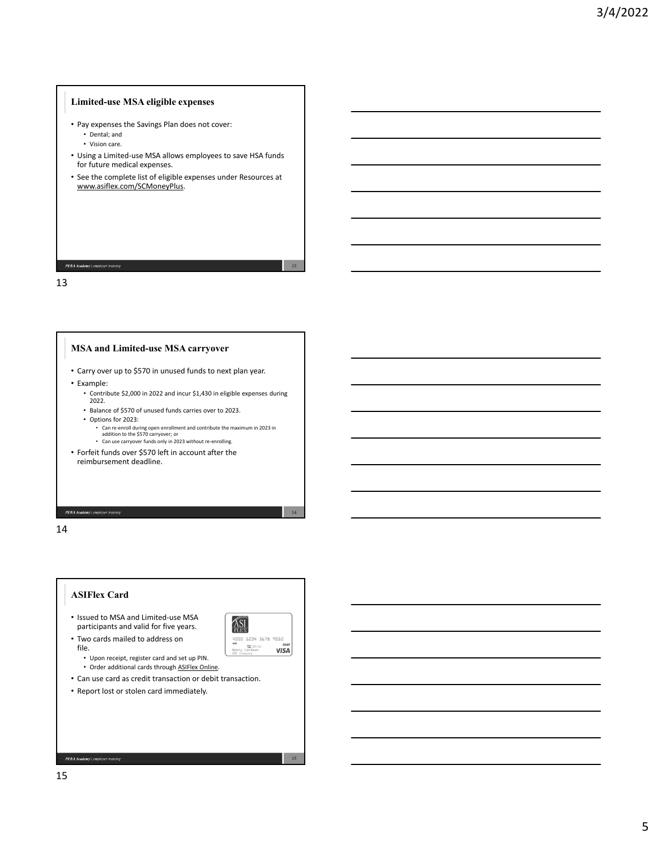## **Limited-use MSA eligible expenses**

- Pay expenses the Savings Plan does not cover: • Dental; and
	- Vision care.
- Using a Limited‐use MSA allows employees to save HSA funds for future medical expenses.
- See the complete list of eligible expenses under Resources at www.asiflex.com/SCMoneyPlus.

### PEBA Academy | employer

13

## **MSA and Limited-use MSA carryover**

- Carry over up to \$570 in unused funds to next plan year.
- Example:
	- Contribute \$2,000 in 2022 and incur \$1,430 in eligible expenses during 2022.
	- Balance of \$570 of unused funds carries over to 2023.
	- Options for 2023:
		- Can re‐enroll during open enrollment and contribute the maximum in 2023 in addition to the \$570 carryover; or • Can use carryover funds only in 2023 without re-enrolling.
- Forfeit funds over \$570 left in account after the reimbursement deadline.

14

PEBA Academy | em

# **ASIFlex Card**

• Issued to MSA and Limited‐use MSA participants and valid for five years. • Two cards mailed to address on



13

14

15

- Upon receipt, register card and set up PIN.
- Order additional cards through ASIFlex Online.
- Can use card as credit transaction or debit transaction.
- Report lost or stolen card immediately.

 $\boldsymbol{PEBA\textcolor{black}{A}\textcolor{black}{cademy}}$  | employer training

file.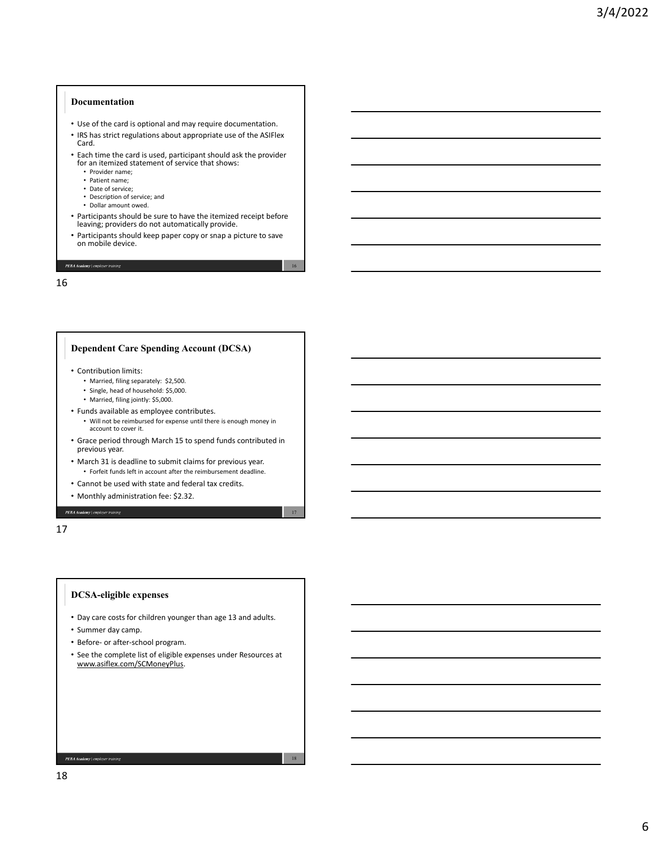#### **Documentation**

- Use of the card is optional and may require documentation.
- IRS has strict regulations about appropriate use of the ASIFlex Card.
- Each time the card is used, participant should ask the provider for an itemized statement of service that shows:
	- Provider name;
	- Patient name;
	- Date of service;
	- Description of service; and • Dollar amount owed.
- Participants should be sure to have the itemized receipt before leaving; providers do not automatically provide.
- Participants should keep paper copy or snap <sup>a</sup> picture to save on mobile device.

16

17

18

### PEBA Academy | employer tr

16

## **Dependent Care Spending Account (DCSA)**

- Contribution limits:
	- Married, filing separately: \$2,500.
	- Single, head of household: \$5,000.
	- Married, filing jointly: \$5,000.
- Funds available as employee contributes. • Will not be reimbursed for expense until there is enough money in account to cover it.
- Grace period through March 15 to spend funds contributed in previous year.
- March 31 is deadline to submit claims for previous year. • Forfeit funds left in account after the reimbursement deadline.
- Cannot be used with state and federal tax credits.
- Monthly administration fee: \$2.32.

17

PEBA Academy | em

#### **DCSA-eligible expenses**

- Day care costs for children younger than age 13 and adults.
- Summer day camp.
- Before‐ or after‐school program.
- See the complete list of eligible expenses under Resources at www.asiflex.com/SCMoneyPlus.